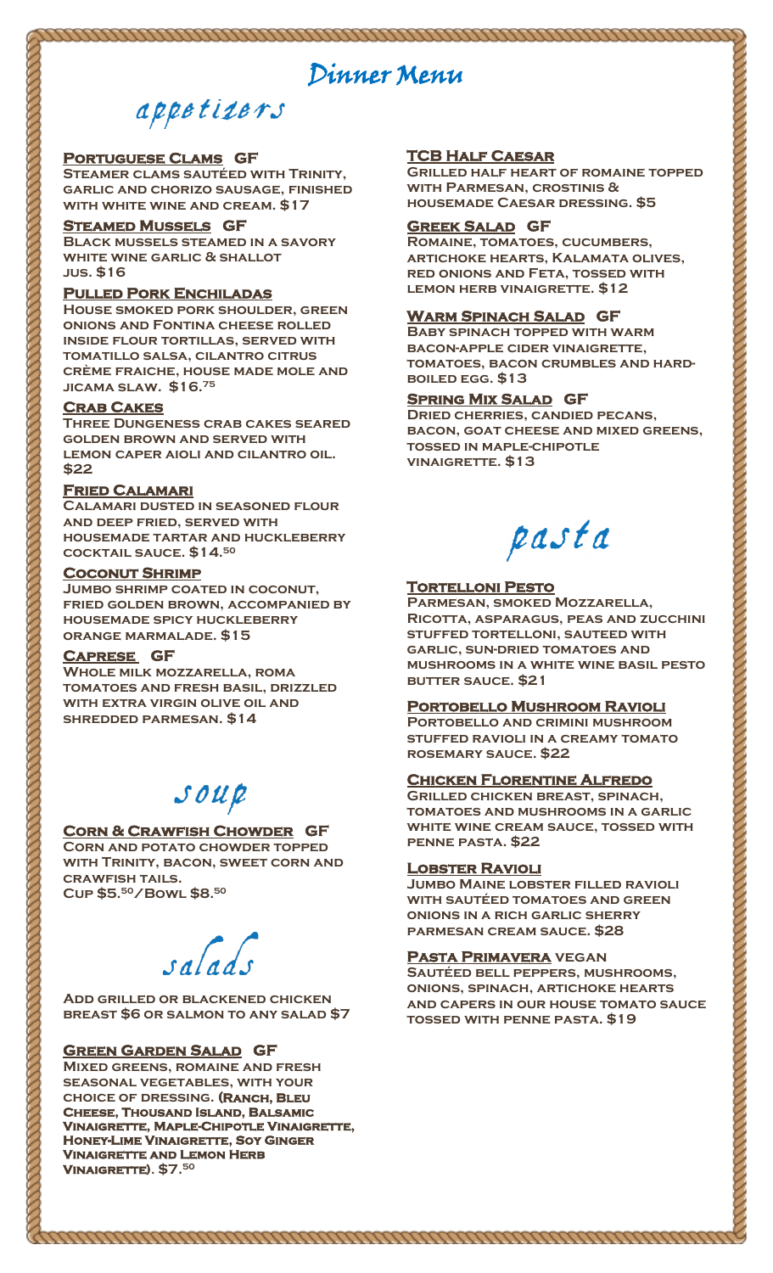## Dinner Menu

## appetizers

#### **Portuguese Clams GF**

**Steamer clams sautéed with Trinity, garlic and chorizo sausage, finished with white wine and cream. \$17**

#### **Steamed Mussels GF**

**Black mussels steamed in a savory white wine garlic & shallot jus. \$16** 

#### **Pulled Pork Enchiladas**

**House smoked pork shoulder, green onions and Fontina cheese rolled inside flour tortillas, served with tomatillo salsa, cilantro citrus crème fraiche, house made mole and jicama slaw. \$16.<sup>75</sup>**

#### **Crab Cakes**

**Three Dungeness crab cakes seared golden brown and served with lemon caper aioli and cilantro oil. \$22**

#### **Fried Calamari**

**Calamari dusted in seasoned flour and deep fried, served with housemade tartar and huckleberry cocktail sauce. \$14. 50**

#### **Coconut Shrimp**

**Jumbo shrimp coated in coconut, fried golden brown, accompanied by housemade spicy huckleberry orange marmalade. \$15**

#### **Caprese GF**

**Whole milk mozzarella, roma tomatoes and fresh basil, drizzled with extra virgin olive oil and shredded parmesan. \$14**

## $SOWR$

#### **Corn & Crawfish Chowder GF**

**Corn and potato chowder topped with Trinity, bacon, sweet corn and crawfish tails. Cup \$5. <sup>50</sup>/Bowl \$8. 50**

salad

**Add grilled or blackened chicken breast \$6 or salmon to any salad \$7**

#### **Green Garden Salad GF**

Ī

**Mixed greens, romaine and fresh seasonal vegetables, with your choice of dressing. (Ranch, Bleu Cheese, Thousand Island, Balsamic Vinaigrette, Maple-Chipotle Vinaigrette, Honey-Lime Vinaigrette, Soy Ginger Vinaigrette and Lemon Herb Vinaigrette). \$7. 50**

#### **TCB Half Caesar**

**Grilled half heart of romaine topped with Parmesan, crostinis & housemade Caesar dressing. \$5**

#### **Greek Salad GF**

**Romaine, tomatoes, cucumbers, artichoke hearts, Kalamata olives, red onions and Feta, tossed with lemon herb vinaigrette. \$12**

#### **Warm Spinach Salad GF**

**Baby spinach topped with warm bacon-apple cider vinaigrette, tomatoes, bacon crumbles and hardboiled egg. \$13**

#### **Spring Mix Salad GF**

**Dried cherries, candied pecans, bacon, goat cheese and mixed greens, tossed in maple-chipotle vinaigrette. \$13**

pasta

#### **Tortelloni Pesto**

**Parmesan, smoked Mozzarella, Ricotta, asparagus, peas and zucchini stuffed tortelloni, sauteed with garlic, sun-dried tomatoes and mushrooms in a white wine basil pesto butter sauce. \$21**

#### **Portobello Mushroom Ravioli**

**Portobello and crimini mushroom stuffed ravioli in a creamy tomato rosemary sauce. \$22**

#### **Chicken Florentine Alfredo**

**Grilled chicken breast, spinach, tomatoes and mushrooms in a garlic white wine cream sauce, tossed with penne pasta. \$22**

#### **Lobster Ravioli**

<u>nnmmmmmmmmmmmmmmmmmmmmmmm</u>

**Jumbo Maine lobster filled ravioli with sautéed tomatoes and green onions in a rich garlic sherry parmesan cream sauce. \$28**

#### **Pasta Primavera vegan**

**Sautéed bell peppers, mushrooms, onions, spinach, artichoke hearts and capers in our house tomato sauce tossed with penne pasta. \$19**